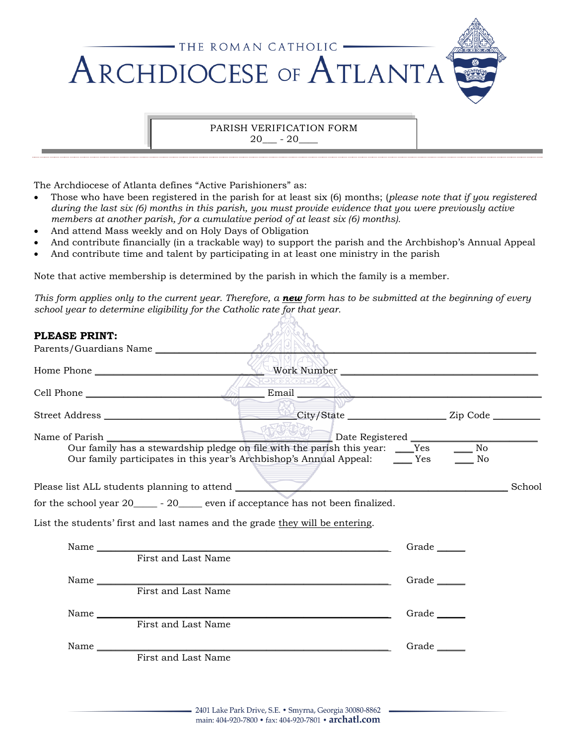

## PARISH VERIFICATION FORM  $20 - 20$

The Archdiocese of Atlanta defines "Active Parishioners" as:

- Those who have been registered in the parish for at least six (6) months; (*please note that if you registered during the last six (6) months in this parish, you must provide evidence that you were previously active members at another parish, for a cumulative period of at least six (6) months).*
- And attend Mass weekly and on Holy Days of Obligation
- And contribute financially (in a trackable way) to support the parish and the Archbishop's Annual Appeal
- And contribute time and talent by participating in at least one ministry in the parish

Note that active membership is determined by the parish in which the family is a member.

*This form applies only to the current year. Therefore, a new form has to be submitted at the beginning of every school year to determine eligibility for the Catholic rate for that year.*

| PLEASE PRINT: |                                                                              |                                                                                                                                                                  |       |          |        |
|---------------|------------------------------------------------------------------------------|------------------------------------------------------------------------------------------------------------------------------------------------------------------|-------|----------|--------|
|               | Parents/Guardians Name                                                       |                                                                                                                                                                  |       |          |        |
|               | Home Phone                                                                   | Work Number                                                                                                                                                      |       |          |        |
|               |                                                                              |                                                                                                                                                                  |       |          |        |
|               |                                                                              |                                                                                                                                                                  |       |          |        |
|               | Name of Parish                                                               | Our family has a stewardship pledge on file with the parish this year: ____Yes<br>Our family participates in this year's Archbishop's Annual Appeal: _______ Yes |       | No<br>No |        |
|               |                                                                              |                                                                                                                                                                  |       |          | School |
|               |                                                                              | for the school year 20_____ - 20_____ even if acceptance has not been finalized.                                                                                 |       |          |        |
|               | List the students' first and last names and the grade they will be entering. |                                                                                                                                                                  |       |          |        |
|               |                                                                              | Name First and Last Name                                                                                                                                         | Grade |          |        |
|               |                                                                              |                                                                                                                                                                  | Grade |          |        |
|               | First and Last Name                                                          |                                                                                                                                                                  |       |          |        |
|               | First and Last Name                                                          |                                                                                                                                                                  | Grade |          |        |
|               |                                                                              |                                                                                                                                                                  | Grade |          |        |
|               | First and Last Name                                                          |                                                                                                                                                                  |       |          |        |